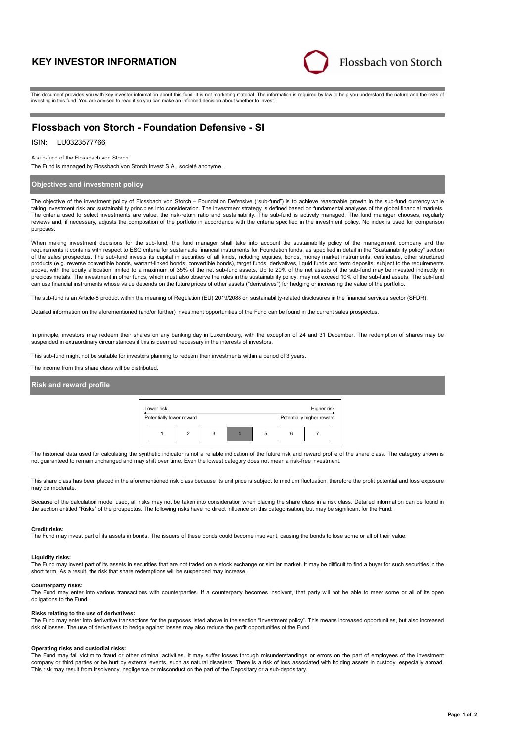# **KEY INVESTOR INFORMATION**



This document provides you with key investor information about this fund. It is not marketing material. The information is required by law to help you understand the nature and the risks of investing in this fund. You are advised to read it so you can make an informed decision about whether to invest.

# **Flossbach von Storch - Foundation Defensive - SI**

## ISIN: LU0323577766

A sub-fund of the Flossbach von Storch.

The Fund is managed by Flossbach von Storch Invest S.A., société anonyme.

### **Objectives and investment policy**

The objective of the investment policy of Flossbach von Storch – Foundation Defensive ("sub-fund") is to achieve reasonable growth in the sub-fund currency while taking investment risk and sustainability principles into consideration. The investment strategy is defined based on fundamental analyses of the global financial markets. The criteria used to select investments are value, the risk-return ratio and sustainability. The sub-fund is actively managed. The fund manager chooses, regularly reviews and, if necessary, adjusts the composition of the portfolio in accordance with the criteria specified in the investment policy. No index is used for comparison purposes.

When making investment decisions for the sub-fund, the fund manager shall take into account the sustainability policy of the management company and the requirements it contains with respect to ESG criteria for sustainable financial instruments for Foundation funds, as specified in detail in the "Sustainability policy" section of the sales prospectus. The sub-fund invests its capital in securities of all kinds, including equities, bonds, money market instruments, certificates, other structured products (e.g. reverse convertible bonds, warrant-linked bonds, convertible bonds), target funds, derivatives, liquid funds and term deposits, subject to the requirements above, with the equity allocation limited to a maximum of 35% of the net sub-fund assets. Up to 20% of the net assets of the sub-fund may be invested indirectly in precious metals. The investment in other funds, which must also observe the rules in the sustainability policy, may not exceed 10% of the sub-fund assets. The sub-fund can use financial instruments whose value depends on the future prices of other assets ("derivatives") for hedging or increasing the value of the portfolio.

The sub-fund is an Article-8 product within the meaning of Regulation (EU) 2019/2088 on sustainability-related disclosures in the financial services sector (SFDR).

Detailed information on the aforementioned (and/or further) investment opportunities of the Fund can be found in the current sales prospectus.

In principle, investors may redeem their shares on any banking day in Luxembourg, with the exception of 24 and 31 December. The redemption of shares may be suspended in extraordinary circumstances if this is deemed necessary in the interests of investors.

This sub-fund might not be suitable for investors planning to redeem their investments within a period of 3 years.

The income from this share class will be distributed.

## **Risk and reward profile**

| Lower risk<br>Higher risk |  |   |  |   |  |                           |  |  |
|---------------------------|--|---|--|---|--|---------------------------|--|--|
| Potentially lower reward  |  |   |  |   |  | Potentially higher reward |  |  |
|                           |  | 3 |  | 5 |  |                           |  |  |

The historical data used for calculating the synthetic indicator is not a reliable indication of the future risk and reward profile of the share class. The category shown is not guaranteed to remain unchanged and may shift over time. Even the lowest category does not mean a risk-free investment.

This share class has been placed in the aforementioned risk class because its unit price is subject to medium fluctuation, therefore the profit potential and loss exposure may be moderate

Because of the calculation model used, all risks may not be taken into consideration when placing the share class in a risk class. Detailed information can be found in the section entitled "Risks" of the prospectus. The following risks have no direct influence on this categorisation, but may be significant for the Fund:

#### **Credit risks:**

The Fund may invest part of its assets in bonds. The issuers of these bonds could become insolvent, causing the bonds to lose some or all of their value.

#### **Liquidity risks:**

The Fund may invest part of its assets in securities that are not traded on a stock exchange or similar market. It may be difficult to find a buyer for such securities in the short term. As a result, the risk that share redemptions will be suspended may increase.

#### **Counterparty risks:**

The Fund may enter into various transactions with counterparties. If a counterparty becomes insolvent, that party will not be able to meet some or all of its open obligations to the Fund.

#### **Risks relating to the use of derivatives:**

The Fund may enter into derivative transactions for the purposes listed above in the section "Investment policy". This means increased opportunities, but also increased<br>risk of losses. The use of derivatives to hedge again

### **Operating risks and custodial risks:**

The Fund may fall victim to fraud or other criminal activities. It may suffer losses through misunderstandings or errors on the part of employees of the investment company or third parties or be hurt by external events, such as natural disasters. There is a risk of loss associated with holding assets in custody, especially abroad. This risk may result from insolvency, negligence or misconduct on the part of the Depositary or a sub-depositary.